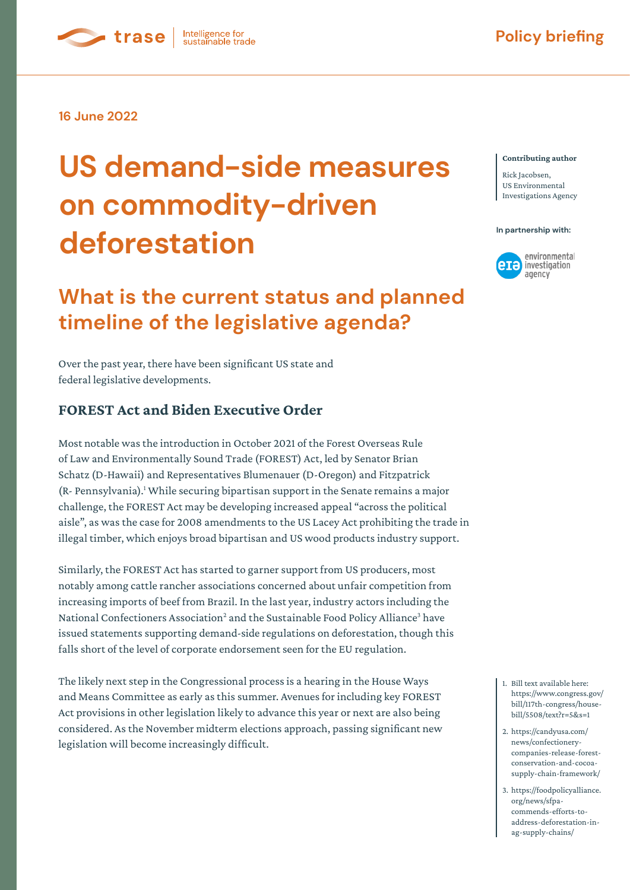**16 June 2022**

**C**trase

# **US demand-side measures on commodity-driven**  deforestation **deformed**

Intelligence for<br>sustainable trade

# **What is the current status and planned timeline of the legislative agenda?**

Over the past year, there have been significant US state and federal legislative developments.

#### **FOREST Act and Biden Executive Order**

Most notable was the introduction in October 2021 of the Forest Overseas Rule of Law and Environmentally Sound Trade (FOREST) Act, led by Senator Brian Schatz (D-Hawaii) and Representatives Blumenauer (D-Oregon) and Fitzpatrick (R- Pennsylvania).<sup>1</sup> While securing bipartisan support in the Senate remains a major challenge, the FOREST Act may be developing increased appeal "across the political aisle", as was the case for 2008 amendments to the US Lacey Act prohibiting the trade in illegal timber, which enjoys broad bipartisan and US wood products industry support.

Similarly, the FOREST Act has started to garner support from US producers, most notably among cattle rancher associations concerned about unfair competition from increasing imports of beef from Brazil. In the last year, industry actors including the National Confectioners Association<sup>2</sup> and the Sustainable Food Policy Alliance<sup>3</sup> have issued statements supporting demand-side regulations on deforestation, though this falls short of the level of corporate endorsement seen for the EU regulation.

The likely next step in the Congressional process is a hearing in the House Ways and Means Committee as early as this summer. Avenues for including key FOREST Act provisions in other legislation likely to advance this year or next are also being considered. As the November midterm elections approach, passing significant new legislation will become increasingly difficult.

#### **Contributing author**

Rick Jacobsen, US Environmental Investigations Agency



- 1. Bill text available here: https://www.congress.gov/ bill/117th-congress/housebill/5508/text?r=5&s=1
- 2. https://candyusa.com/ news/confectionerycompanies-release-forestconservation-and-cocoasupply-chain-framework/
- 3. https://foodpolicyalliance. org/news/sfpacommends-efforts-toaddress-deforestation-inag-supply-chains/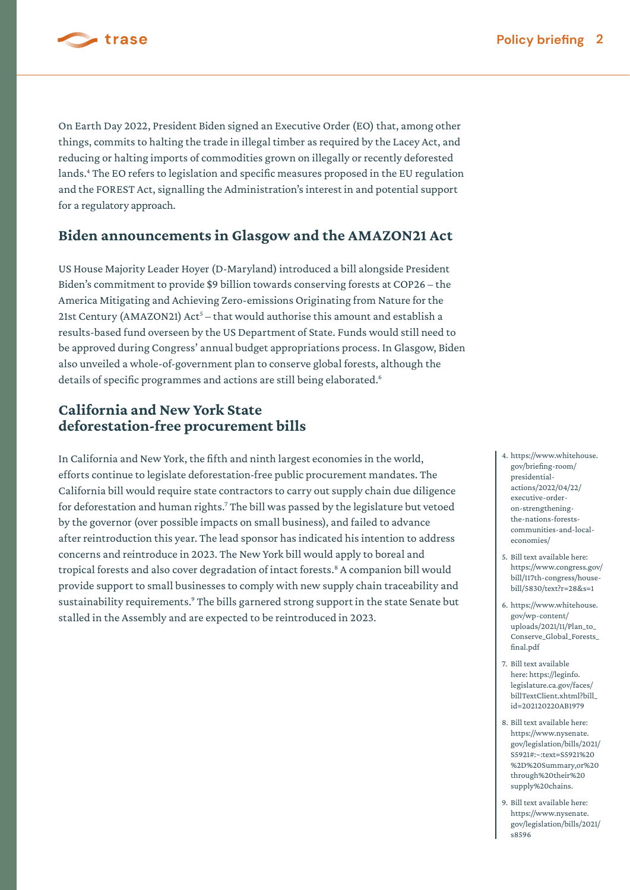

On Earth Day 2022, President Biden signed an Executive Order (EO) that, among other

things, commits to halting the trade in illegal timber as required by the Lacey Act, and reducing or halting imports of commodities grown on illegally or recently deforested lands.<sup>4</sup> The EO refers to legislation and specific measures proposed in the EU regulation and the FOREST Act, signalling the Administration's interest in and potential support for a regulatory approach.

#### **Biden announcements in Glasgow and the AMAZON21 Act**

US House Majority Leader Hoyer (D-Maryland) introduced a bill alongside President Biden's commitment to provide \$9 billion towards conserving forests at COP26 – the America Mitigating and Achieving Zero-emissions Originating from Nature for the 21st Century (AMAZON21) Act<sup>5</sup> – that would authorise this amount and establish a results-based fund overseen by the US Department of State. Funds would still need to be approved during Congress' annual budget appropriations process. In Glasgow, Biden also unveiled a whole-of-government plan to conserve global forests, although the details of specific programmes and actions are still being elaborated.<sup>6</sup>

### **California and New York State deforestation-free procurement bills**

In California and New York, the fifth and ninth largest economies in the world, efforts continue to legislate deforestation-free public procurement mandates. The California bill would require state contractors to carry out supply chain due diligence for deforestation and human rights.<sup>7</sup> The bill was passed by the legislature but vetoed by the governor (over possible impacts on small business), and failed to advance after reintroduction this year. The lead sponsor has indicated his intention to address concerns and reintroduce in 2023. The New York bill would apply to boreal and tropical forests and also cover degradation of intact forests.<sup>8</sup> A companion bill would provide support to small businesses to comply with new supply chain traceability and sustainability requirements.<sup>9</sup> The bills garnered strong support in the state Senate but stalled in the Assembly and are expected to be reintroduced in 2023.

- gov/briefing-room/ presidentialactions/2022/04/22/ executive-orderon-strengtheningthe-nations-forestscommunities-and-localeconomies/
- 5. Bill text available here: https://www.congress.gov/ bill/117th-congress/housebill/5830/text?r=28&s=1
- 6. https://www.whitehouse. gov/wp-content/ uploads/2021/11/Plan\_to\_ Conserve\_Global\_Forests\_ final.pdf
- 7. Bill text available here: https://leginfo. legislature.ca.gov/faces/ billTextClient.xhtml?bill\_ id=202120220AB1979
- 8. Bill text available here: https://www.nysenate. gov/legislation/bills/2021/ S5921#:~:text=S5921%20 %2D%20Summary,or%20 through%20their%20 supply%20chains.
- 9. Bill text available here: https://www.nysenate. gov/legislation/bills/2021/ s8596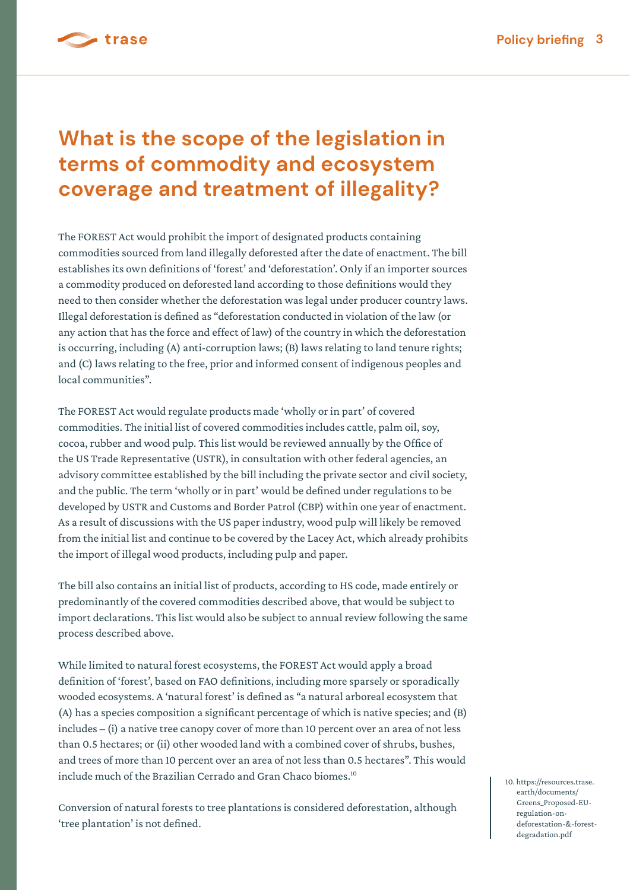

# **What is the scope of the legislation in terms of commodity and ecosystem coverage and treatment of illegality?**

The FOREST Act would prohibit the import of designated products containing commodities sourced from land illegally deforested after the date of enactment. The bill establishes its own definitions of 'forest' and 'deforestation'. Only if an importer sources a commodity produced on deforested land according to those definitions would they need to then consider whether the deforestation was legal under producer country laws. Illegal deforestation is defined as "deforestation conducted in violation of the law (or any action that has the force and effect of law) of the country in which the deforestation is occurring, including (A) anti-corruption laws; (B) laws relating to land tenure rights; and (C) laws relating to the free, prior and informed consent of indigenous peoples and local communities".

The FOREST Act would regulate products made 'wholly or in part' of covered commodities. The initial list of covered commodities includes cattle, palm oil, soy, cocoa, rubber and wood pulp. This list would be reviewed annually by the Office of the US Trade Representative (USTR), in consultation with other federal agencies, an advisory committee established by the bill including the private sector and civil society, and the public. The term 'wholly or in part' would be defined under regulations to be developed by USTR and Customs and Border Patrol (CBP) within one year of enactment. As a result of discussions with the US paper industry, wood pulp will likely be removed from the initial list and continue to be covered by the Lacey Act, which already prohibits the import of illegal wood products, including pulp and paper.

The bill also contains an initial list of products, according to HS code, made entirely or predominantly of the covered commodities described above, that would be subject to import declarations. This list would also be subject to annual review following the same process described above.

While limited to natural forest ecosystems, the FOREST Act would apply a broad definition of 'forest', based on FAO definitions, including more sparsely or sporadically wooded ecosystems. A 'natural forest' is defined as "a natural arboreal ecosystem that (A) has a species composition a significant percentage of which is native species; and (B) includes – (i) a native tree canopy cover of more than 10 percent over an area of not less than 0.5 hectares; or (ii) other wooded land with a combined cover of shrubs, bushes, and trees of more than 10 percent over an area of not less than 0.5 hectares". This would include much of the Brazilian Cerrado and Gran Chaco biomes.<sup>10</sup>

Conversion of natural forests to tree plantations is considered deforestation, although 'tree plantation' is not defined.

10. https://resources.trase. earth/documents/ Greens\_Proposed-EU regulation-on deforestation-&-forest degradation.pdf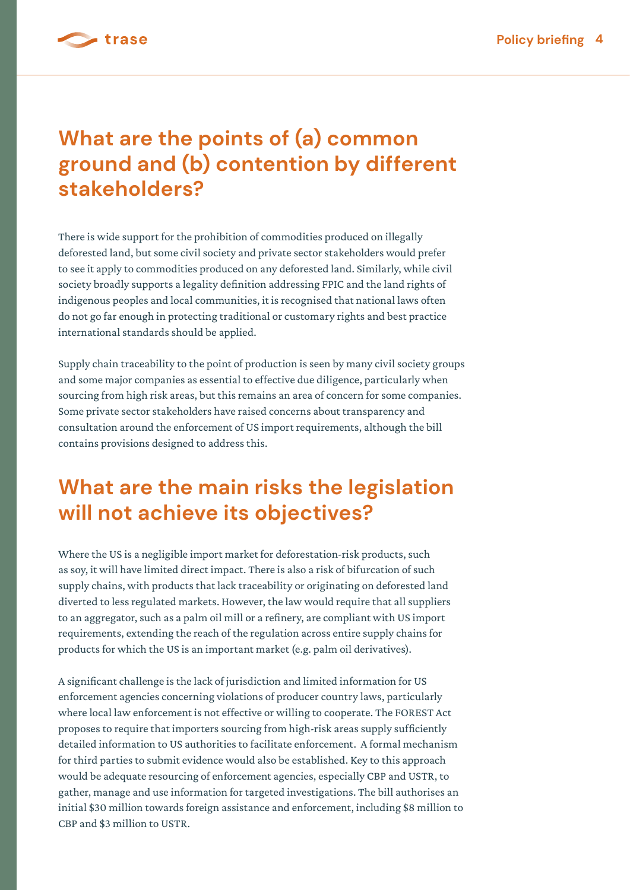

# **What are the points of (a) common ground and (b) contention by different stakeholders?**

There is wide support for the prohibition of commodities produced on illegally deforested land, but some civil society and private sector stakeholders would prefer to see it apply to commodities produced on any deforested land. Similarly, while civil society broadly supports a legality definition addressing FPIC and the land rights of indigenous peoples and local communities, it is recognised that national laws often do not go far enough in protecting traditional or customary rights and best practice international standards should be applied.

Supply chain traceability to the point of production is seen by many civil society groups and some major companies as essential to effective due diligence, particularly when sourcing from high risk areas, but this remains an area of concern for some companies. Some private sector stakeholders have raised concerns about transparency and consultation around the enforcement of US import requirements, although the bill contains provisions designed to address this.

# **What are the main risks the legislation will not achieve its objectives?**

Where the US is a negligible import market for deforestation-risk products, such as soy, it will have limited direct impact. There is also a risk of bifurcation of such supply chains, with products that lack traceability or originating on deforested land diverted to less regulated markets. However, the law would require that all suppliers to an aggregator, such as a palm oil mill or a refinery, are compliant with US import requirements, extending the reach of the regulation across entire supply chains for products for which the US is an important market (e.g. palm oil derivatives).

A significant challenge is the lack of jurisdiction and limited information for US enforcement agencies concerning violations of producer country laws, particularly where local law enforcement is not effective or willing to cooperate. The FOREST Act proposes to require that importers sourcing from high-risk areas supply sufficiently detailed information to US authorities to facilitate enforcement. A formal mechanism for third parties to submit evidence would also be established. Key to this approach would be adequate resourcing of enforcement agencies, especially CBP and USTR, to gather, manage and use information for targeted investigations. The bill authorises an initial \$30 million towards foreign assistance and enforcement, including \$8 million to CBP and \$3 million to USTR.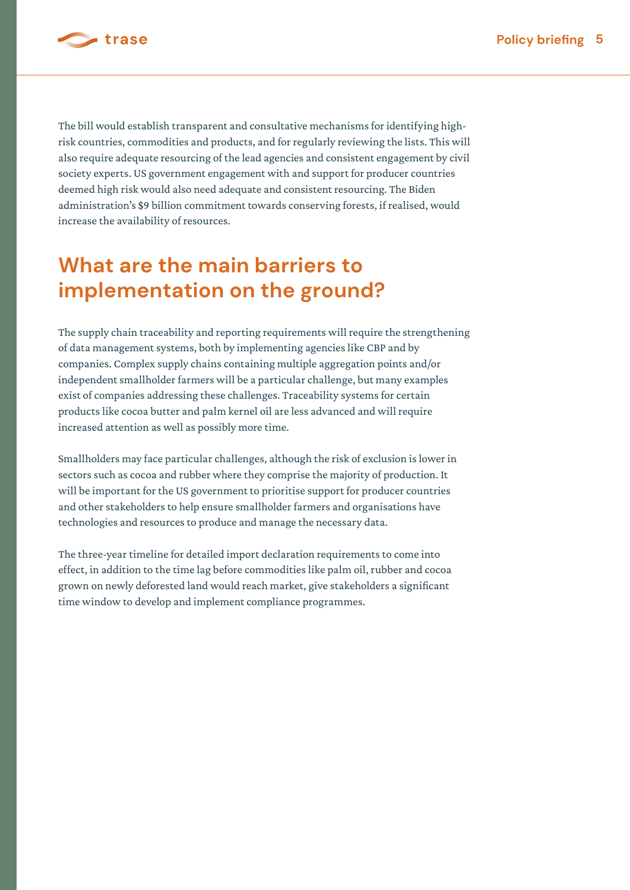

The bill would establish transparent and consultative mechanisms for identifying highrisk countries, commodities and products, and for regularly reviewing the lists. This will also require adequate resourcing of the lead agencies and consistent engagement by civil society experts. US government engagement with and support for producer countries deemed high risk would also need adequate and consistent resourcing. The Biden administration's \$9 billion commitment towards conserving forests, if realised, would increase the availability of resources.

# **What are the main barriers to implementation on the ground?**

The supply chain traceability and reporting requirements will require the strengthening of data management systems, both by implementing agencies like CBP and by companies. Complex supply chains containing multiple aggregation points and/or independent smallholder farmers will be a particular challenge, but many examples exist of companies addressing these challenges. Traceability systems for certain products like cocoa butter and palm kernel oil are less advanced and will require increased attention as well as possibly more time.

Smallholders may face particular challenges, although the risk of exclusion is lower in sectors such as cocoa and rubber where they comprise the majority of production. It will be important for the US government to prioritise support for producer countries and other stakeholders to help ensure smallholder farmers and organisations have technologies and resources to produce and manage the necessary data.

The three-year timeline for detailed import declaration requirements to come into effect, in addition to the time lag before commodities like palm oil, rubber and cocoa grown on newly deforested land would reach market, give stakeholders a significant time window to develop and implement compliance programmes.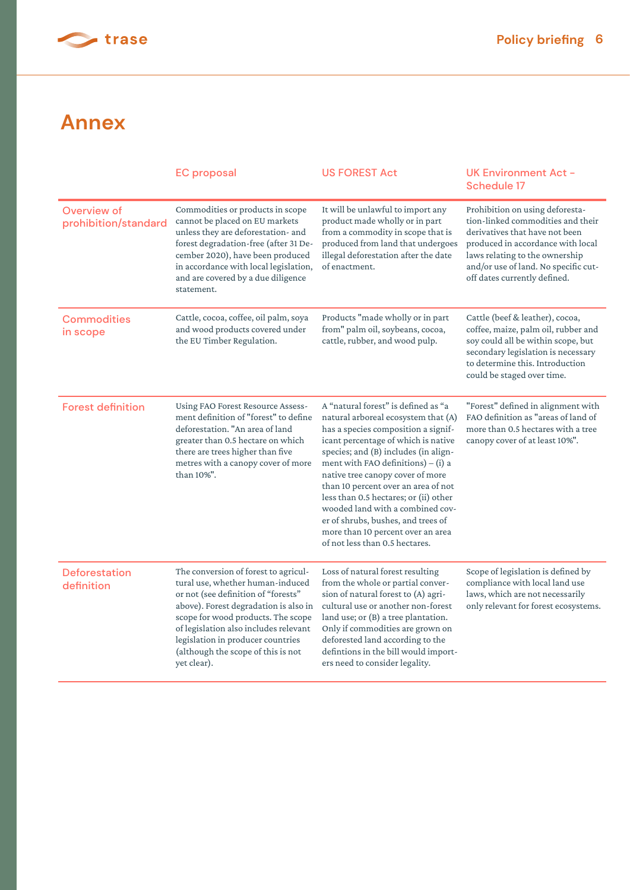

## **Annex**

|                                     | <b>EC</b> proposal                                                                                                                                                                                                                                                                                                                | <b>US FOREST Act</b>                                                                                                                                                                                                                                                                                                                                                                                                                                                                                          | <b>UK Environment Act -</b><br><b>Schedule 17</b>                                                                                                                                                                                                     |
|-------------------------------------|-----------------------------------------------------------------------------------------------------------------------------------------------------------------------------------------------------------------------------------------------------------------------------------------------------------------------------------|---------------------------------------------------------------------------------------------------------------------------------------------------------------------------------------------------------------------------------------------------------------------------------------------------------------------------------------------------------------------------------------------------------------------------------------------------------------------------------------------------------------|-------------------------------------------------------------------------------------------------------------------------------------------------------------------------------------------------------------------------------------------------------|
| Overview of<br>prohibition/standard | Commodities or products in scope<br>cannot be placed on EU markets<br>unless they are deforestation- and<br>forest degradation-free (after 31 De-<br>cember 2020), have been produced<br>in accordance with local legislation,<br>and are covered by a due diligence<br>statement.                                                | It will be unlawful to import any<br>product made wholly or in part<br>from a commodity in scope that is<br>produced from land that undergoes<br>illegal deforestation after the date<br>of enactment.                                                                                                                                                                                                                                                                                                        | Prohibition on using deforesta-<br>tion-linked commodities and their<br>derivatives that have not been<br>produced in accordance with local<br>laws relating to the ownership<br>and/or use of land. No specific cut-<br>off dates currently defined. |
| <b>Commodities</b><br>in scope      | Cattle, cocoa, coffee, oil palm, soya<br>and wood products covered under<br>the EU Timber Regulation.                                                                                                                                                                                                                             | Products "made wholly or in part<br>from" palm oil, soybeans, cocoa,<br>cattle, rubber, and wood pulp.                                                                                                                                                                                                                                                                                                                                                                                                        | Cattle (beef & leather), cocoa,<br>coffee, maize, palm oil, rubber and<br>soy could all be within scope, but<br>secondary legislation is necessary<br>to determine this. Introduction<br>could be staged over time.                                   |
| <b>Forest definition</b>            | Using FAO Forest Resource Assess-<br>ment definition of "forest" to define<br>deforestation. "An area of land<br>greater than 0.5 hectare on which<br>there are trees higher than five<br>metres with a canopy cover of more<br>than 10%".                                                                                        | A "natural forest" is defined as "a<br>natural arboreal ecosystem that (A)<br>has a species composition a signif-<br>icant percentage of which is native<br>species; and (B) includes (in align-<br>ment with FAO definitions) $-$ (i) a<br>native tree canopy cover of more<br>than 10 percent over an area of not<br>less than 0.5 hectares; or (ii) other<br>wooded land with a combined cov-<br>er of shrubs, bushes, and trees of<br>more than 10 percent over an area<br>of not less than 0.5 hectares. | "Forest" defined in alignment with<br>FAO definition as "areas of land of<br>more than 0.5 hectares with a tree<br>canopy cover of at least 10%".                                                                                                     |
| Deforestation<br>definition         | The conversion of forest to agricul-<br>tural use, whether human-induced<br>or not (see definition of "forests"<br>above). Forest degradation is also in<br>scope for wood products. The scope<br>of legislation also includes relevant<br>legislation in producer countries<br>(although the scope of this is not<br>yet clear). | Loss of natural forest resulting<br>from the whole or partial conver-<br>sion of natural forest to (A) agri-<br>cultural use or another non-forest<br>land use; or (B) a tree plantation.<br>Only if commodities are grown on<br>deforested land according to the<br>defintions in the bill would import-<br>ers need to consider legality.                                                                                                                                                                   | Scope of legislation is defined by<br>compliance with local land use<br>laws, which are not necessarily<br>only relevant for forest ecosystems.                                                                                                       |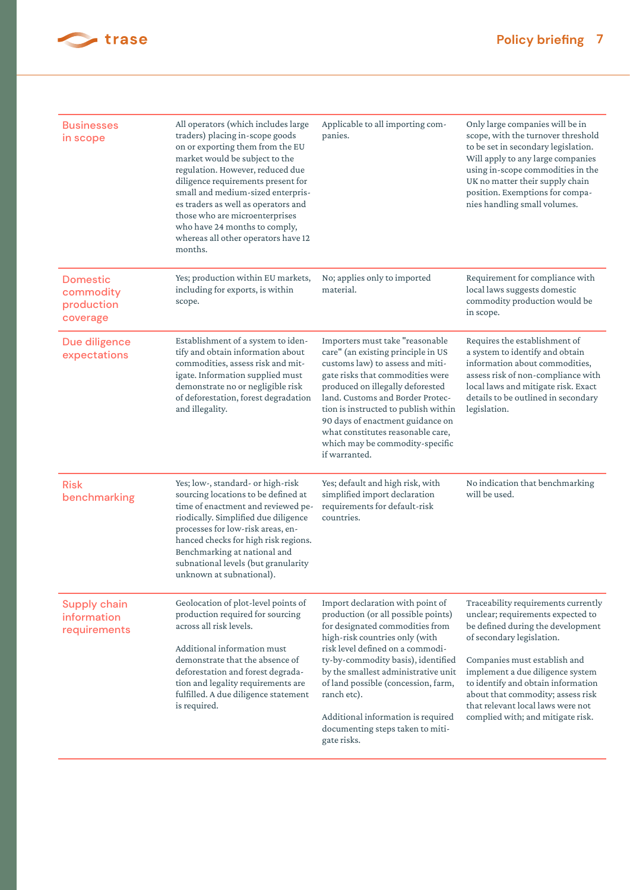

| <b>Businesses</b><br>in scope                          | All operators (which includes large<br>traders) placing in-scope goods<br>on or exporting them from the EU<br>market would be subject to the<br>regulation. However, reduced due<br>diligence requirements present for<br>small and medium-sized enterpris-<br>es traders as well as operators and<br>those who are microenterprises<br>who have 24 months to comply,<br>whereas all other operators have 12<br>months. | Applicable to all importing com-<br>panies.                                                                                                                                                                                                                                                                                                                                                                  | Only large companies will be in<br>scope, with the turnover threshold<br>to be set in secondary legislation.<br>Will apply to any large companies<br>using in-scope commodities in the<br>UK no matter their supply chain<br>position. Exemptions for compa-<br>nies handling small volumes.                                                                        |
|--------------------------------------------------------|-------------------------------------------------------------------------------------------------------------------------------------------------------------------------------------------------------------------------------------------------------------------------------------------------------------------------------------------------------------------------------------------------------------------------|--------------------------------------------------------------------------------------------------------------------------------------------------------------------------------------------------------------------------------------------------------------------------------------------------------------------------------------------------------------------------------------------------------------|---------------------------------------------------------------------------------------------------------------------------------------------------------------------------------------------------------------------------------------------------------------------------------------------------------------------------------------------------------------------|
| <b>Domestic</b><br>commodity<br>production<br>coverage | Yes; production within EU markets,<br>including for exports, is within<br>scope.                                                                                                                                                                                                                                                                                                                                        | No; applies only to imported<br>material.                                                                                                                                                                                                                                                                                                                                                                    | Requirement for compliance with<br>local laws suggests domestic<br>commodity production would be<br>in scope.                                                                                                                                                                                                                                                       |
| Due diligence<br>expectations                          | Establishment of a system to iden-<br>tify and obtain information about<br>commodities, assess risk and mit-<br>igate. Information supplied must<br>demonstrate no or negligible risk<br>of deforestation, forest degradation<br>and illegality.                                                                                                                                                                        | Importers must take "reasonable<br>care" (an existing principle in US<br>customs law) to assess and miti-<br>gate risks that commodities were<br>produced on illegally deforested<br>land. Customs and Border Protec-<br>tion is instructed to publish within<br>90 days of enactment guidance on<br>what constitutes reasonable care,<br>which may be commodity-specific<br>if warranted.                   | Requires the establishment of<br>a system to identify and obtain<br>information about commodities,<br>assess risk of non-compliance with<br>local laws and mitigate risk. Exact<br>details to be outlined in secondary<br>legislation.                                                                                                                              |
| <b>Risk</b><br>benchmarking                            | Yes; low-, standard- or high-risk<br>sourcing locations to be defined at<br>time of enactment and reviewed pe-<br>riodically. Simplified due diligence<br>processes for low-risk areas, en-<br>hanced checks for high risk regions.<br>Benchmarking at national and<br>subnational levels (but granularity<br>unknown at subnational).                                                                                  | Yes; default and high risk, with<br>simplified import declaration<br>requirements for default-risk<br>countries.                                                                                                                                                                                                                                                                                             | No indication that benchmarking<br>will be used.                                                                                                                                                                                                                                                                                                                    |
| Supply chain<br>information<br>requirements            | Geolocation of plot-level points of<br>production required for sourcing<br>across all risk levels.<br>Additional information must<br>demonstrate that the absence of<br>deforestation and forest degrada-<br>tion and legality requirements are<br>fulfilled. A due diligence statement<br>is required.                                                                                                                 | Import declaration with point of<br>production (or all possible points)<br>for designated commodities from<br>high-risk countries only (with<br>risk level defined on a commodi-<br>ty-by-commodity basis), identified<br>by the smallest administrative unit<br>of land possible (concession, farm,<br>ranch etc).<br>Additional information is required<br>documenting steps taken to miti-<br>gate risks. | Traceability requirements currently<br>unclear; requirements expected to<br>be defined during the development<br>of secondary legislation.<br>Companies must establish and<br>implement a due diligence system<br>to identify and obtain information<br>about that commodity; assess risk<br>that relevant local laws were not<br>complied with; and mitigate risk. |